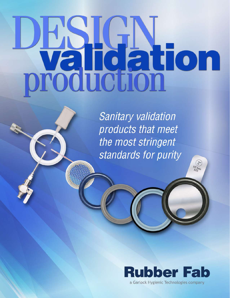# **Production**<br>production

**Sanitary validation** products that meet the most stringent standards for purity



 $(2)$  $\frac{1}{2 \cdot h_0}$ 

a Garlock Hygienic Technologies company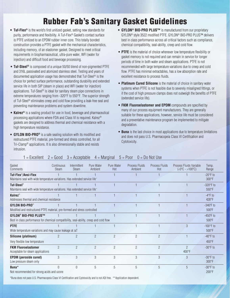## Rubber Fab's Sanitary Gasket Guidelines

- **• Tuf-Flex®** is the world's first unitized gasket, setting new standards for purity, performance and flexibility. A Tuf-Flex® Gasket's contact surface is PTFE unitized to an EPDM rubber inner core. This totally bonded construction provides a PTFE gasket with the mechanical characteristics, including memory, of an elastomer gasket. Designed to meet critical requirements in biopharmaceutical, ultra-pure water, WFI (water for injection) and difficult food and beverage processing.
- **Tuf-Steel®** is composed of a unique 50/50 blend of non-pigmented PTFE and 316L passivated and atomized stainless steel. Testing and years of documented application usage has demonstrated that Tuf-Steel® is the choice for perfect surface performance, outstanding durability and extended service life in both SIP (steam in place) and WFI (water for injection) applications. Tuf-Steel® is ideal for sanitary steam pipe connections in extreme temperatures ranging from -320°F to 550°F. The superior strength of Tuf-Steel® eliminates creep and cold flow providing a leak-free seal and preventing maintenance problems and system downtime.
- **Kalrez®** is a sealing product for use in food, beverage and pharmaceutical processing applications where FDA and Class VI is required. Kalrez® gaskets are designed to address thermal and chemical resistance with a high temperature resistance.
- **• GYLON BIO-PRO®** is a safe sealing solution with its modified and restructured PTFE material, pre-formed and stress controlled, for all Tri-Clamp® applications. It is also dimensionally stable and resists intrusion.
- **• GYLON® BIO-PRO PLUS™** is manufactured from our proprietary GYLON® style 3522 modified PTFE. GYLON® BIO-PRO PLUS™ delivers best in class performance across all critical factors such as compliance, chemical compatibility, seal-ability, creep and cold flow.
- **PTFE** is the material of choice whenever low temperature flexibility or gasket memory is not required and can remain in service for longer periods of time in both water and steam applications. PTFE is not recommended with large temperature variations due to creep and cold flow. PTFE has minimal extractables, has a low absorption rate and excellent resistance to process fluids.
- **Platinum Cured Silicone** is the material of choice in sanitary water systems when PTFE is not feasible due to severely misaligned fittings, or if the cost of high pressure clamps does not outweigh the benefits of PTFE (extended service life).
- **FKM Fluoroelastomer and EPDM** compounds are specified by many of our process equipment manufacturers. They are generally suitable for these applications, however, service life must be considered and a preventative maintenance program be implemented to mitigate degradation.
- **Buna** is the last choice in most applications due to temperature limitations and does not pass U.S. Pharmacopeia Class VI Certification and Cytotoxicity.

| Gasket<br>Comments                                                                                                     | Continuous<br><b>Steam</b> | Intermittent<br><b>Steam</b> | Pure Water<br>Ambient | Pure Water<br>Hot | Process Fluids<br>Ambient | <b>Process Fluids</b><br>Hot | Process Fluids Variable<br>$(<0°C - 100°C)$ | Temp.<br>Range                         |
|------------------------------------------------------------------------------------------------------------------------|----------------------------|------------------------------|-----------------------|-------------------|---------------------------|------------------------------|---------------------------------------------|----------------------------------------|
| Tuf-Flex <sup>®</sup> /Ansi-Flex<br>Maintains seal with wide temperature variations. Has extended service life"        |                            |                              |                       |                   |                           |                              |                                             | $-20^{\circ}$ F to<br>300°F            |
| Tuf-Steel <sup>®</sup><br>Maintains seal with wide temperature variations. Has extended service life"                  |                            |                              |                       |                   |                           |                              |                                             | $-320^{\circ}$ F to<br>$550^{\circ}$ F |
| <b>Kalrez</b> <sup>®</sup><br>Addresses thermal and chemical resistance                                                |                            |                              |                       |                   |                           |                              |                                             | $-4$ °F to<br>428°F                    |
| <b>GYLON BIO-PRO®</b><br>Modified and restructured PTFE material, pre-formed and stress controlled                     |                            |                              |                       |                   |                           |                              |                                             | $-346^{\circ}$ F to<br>500°F           |
| <b>GYLON® BIO-PRO PLUS™</b><br>Best in class performance for chemical compatibility, seal-ability, creep and cold flow |                            |                              |                       |                   |                           |                              |                                             | $-450^{\circ}$ F to<br>$500^{\circ}$ F |
| <b>PTFE</b><br>Wide temperature variations and may cause leakage at $\Delta T$                                         |                            |                              |                       |                   |                           |                              | 3                                           | $-100^{\circ}$ F to<br>$500^\circ F$   |
| Silicone (platinum)<br>Very flexible low temperature                                                                   |                            | $\overline{2}$               | $\overline{2}$        | $\overline{2}$    | 2                         | $\overline{2}$               |                                             | $-40^{\circ}$ F to<br>$450^{\circ}$ F  |
| <b>FKM Fluoroelastomer</b><br>Acceptable for steam applications                                                        | $\mathfrak{D}$             | $\mathfrak{D}$               | $\mathfrak{D}$        | $\overline{2}$    | $\mathfrak{p}$            | $\overline{2}$               | $\mathfrak{D}$<br>400°F                     | $-30^\circ$ F to                       |
| <b>EPDM</b> (peroxide cured)<br>Low pressure steam only                                                                | $\mathfrak{Z}$             | 3                            | 3                     | 3                 | 3                         | 3                            | 3                                           | $-30^\circ$ F to<br>$300^{\circ}$ F    |
| Buna*<br>Not recommended for strong acids and ozone                                                                    |                            | $\theta$                     | 5                     | 5                 | 5                         | 5                            | 5                                           | $-30^\circ$ F to<br>$200^{\circ}$ F    |

#### $1 =$  Excellent  $2 =$  Good  $3 =$  Acceptable  $4 =$  Marginal  $5 =$  Poor  $0 =$  Do Not Use

\*Buna does not pass U.S. Pharmacopeia Class VI Certification and Cytotoxicity and is not ADI free. \*\*Application dependent.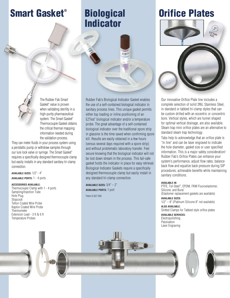## Smart Gasket®

## **Biological** Indicator



The Rubber Fab Smart Gasket® value is proven when validating sterility in a high-purity pharmaceutical system. The Smart Gasket® Thermocouple Gasket obtains the critical thermal mapping information needed during the validation process.

They can meter fluids in your process system using a peristaltic pump or withdraw samples through our lure lock valve or syringe. The Smart Gasket® requires a specifically designed thermocouple clamp but easily installs in any standard sanitary tri-clamp connection.

**AVAILABLE SIZES:** 1/2"- 4" **AVAILABLE PORTS:** 1 - 4 ports

#### **ACCESSORIES AVAILABLE:**

Thermocouple Clamp with 1 - 4 ports Sampling/Injection Tube Hole Plug **Stopcock** Teflon Coated Wire Probe Kapton Coated Wire Probe **Thermometer** Extension Lead - 3 ft & 6 ft Temperature Probes

Rubber Fab's Biological Indicator Gasket enables the use of a self-contained biological indicator in sanitary process lines. This unique gasket permits either top loading or inline positioning of an EZTest® biological indicator and/or a temperature probe. The great advantage of a self-contained biological indicator over the traditional spore strip in glassine is the time saved when confirming spore kill. Results are easily obtained in a few hours (versus several days required with a spore strip) and without problematic laboratory transfer. Feel secure knowing that the biological indicator will not be lost down stream in the process. This fail-safe gasket holds the indicator in place for easy retrieval. Biological Indicator Gaskets require a specifically designed thermocouple clamp but easily install in any standard tri-clamp connection.

**AVAILABLE SIZES:** 3/4" – 2" **AVAILABLE PORTS:** 1 port

Patent 6,927,058

## Orifice Plates



Our innovative Orifice Plate line includes a complete selection of solid 316L Stainless Steel, in standard or tabbed tri-clamp styles that can be custom drilled with an eccentric or concentric bore. Vertical styles, which are funnel shaped for optimal vertical drainage, are also available. Steam trap mini orifice plates are an alternative to standard steam trap technology.

Tabs help to acknowledge that an orifice plate is "in line" and can be laser engraved to indicate the hole diameter, gasket size or user specified information. This is a major safety consideration! Rubber Fab's Orifice Plates can enhance your system's performance, adjust flow rates, balance back flow and equalize back pressure during SIP procedures; achievable benefits while maintaining sanitary conditions.

#### **AVAILABLE IN:**

PTFE, Tuf-Steel® , EPDM, FKM Fluoroelastomer, Silicone, and Buna\* (Elastomer replacement gaskets are available)

**AVAILABLE SIZES:** 1/2" – 8" (Platinum Silicone 8" not available)

**ALSO AVAILABLE:** Slotted Clamps for Tabbed style orifice plates **AVAILABLE SERVICES:**

Electropolishing Passivation Laser Engraving



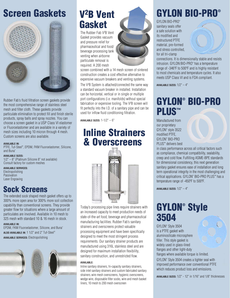# Screen Gaskets



Rubber Fab's fluid filtration screen gaskets provide the most comprehensive range of stainless steel mesh and filter cloth. These gaskets provide particulate elimination to protect fill and finish sterile products, spray balls and spray nozzles. You can choose a screen gasket in a USP Class VI elastomer or Fluoroelastomer and are available in a variety of mesh sizes including 10 micron through 4 mesh. Custom screens are also available.

#### **AVAILABLE IN:**

PTFE, Tuf-Steel® , EPDM, FKM Fluoroelastomer, Silicone, and Buna\*

**AVAILABLE SIZES:** 1/2" – 8" (Platinum Silicone 8" not available) Consult factory for custom meshes

**AVAILABLE SERVICES:** Electropolishing **Passivation** Laser Engraving

## Sock Screens

The extended sock shaped mesh gasket offers up to 300% more open area for 300% more soil collection capability than conventional screens. They provide greater flow for situations where a large amount of particulates are involved. Available in 10 mesh to 325 mesh with standard 10 & 16 mesh in stock.

**AVAILABLE IN:** EPDM, FKM Fluoroelastomer, Silicone, and Buna\* **ALSO AVAILABLE IN:** 1 1/2" and 2" Tuf-Steel® **AVAILABLE SERVICES:** Electropolishing



## V2B Vent **Gasket**

The Rubber Fab V<sup>2</sup>B Vent Gasket provides vacuum and pressure relief for pharmaceutical and food/ beverage processing tank venting when airborne particulate removal is required. A 200 mesh



screen combined with a 14 mesh screen of sintered construction creates a cost effective alternative to expensive vacuum breakers and venting systems. The V<sup>2</sup>B System is attached/connected the same way a standard vacuum breaker in installed. Installation can be horizontal, vertical or in single or multiple port configurations (i.e. manifolds) without special fabrication or expensive tooling. The V2 B screen will fit perfectly into the I.D. of a sanitary pipe and can be used for inflow fluid conditioning filtration.

**AVAILABLE SIZES:** 1-1/2" – 6"

## Inline Strainers & Overscreens



Today's processing pipe lines require strainers with an increased capacity to meet production needs of state-of-the-art food, beverage and pharmaceutical manufacturing facilities. Rubber Fab's sanitary strainers and overscreens protect valuable processing equipment and have been specifically designed to meet the most stringent process requirements. Our sanitary strainer products are manufactured using 316L stainless steel and are designed for maximum installation flexibility, sanitary construction, and unrestricted flow.

#### **AVAILABLE:**

Inline sanitary strainers, hi-capacity sanitary strainers, side inlet sanitary strainers and custom fabricated sanitary strainers, wire mesh overscreens, hygienic overscreens, wedge wire, disposable filter socks, wire and mesh basket liners, 10 mesh to 200 mesh overscreen

# GYLON BIO-PRO®

GYLON BIO-PRO® sanitary seals offer a safe solution with its modified and restructured PTFE material, pre-formed and stress controlled, for all tri-clamp



connections. It is dimensionally stable and resists intrusion. GYLON BIO-PRO® has a temperature range of -346ºF to 500ºF and is highly resistant to most chemicals and temperature cycles. It also meets USP Class VI and is FDA compliant.

**AVAILABLE SIZES:** 1/2" – 4"

## GYLON® BIO-PRO PLUS™

Manufactured from our proprietary GYLON® style 3522 modified PTFE, GYLON® BIO-PRO PLUS<sup>™</sup> delivers best

in class performance across all critical factors such as compliance, chemical compatibility, sealability, creep and cold flow. Fulfilling ASME-BPE standards for dimensional consistency, this next generation sanitary gasket ensures ease of installation and long term operational integrity in the most challenging and critical applications. GYLON® BIO-PRO PLUS™ has a temperature range of -450ºF to 500ºF.

**AVAILABLE SIZES:** 1/2" – 4"

## GYLON® Style 3504

GYLON® Style 3504 is a PTFE gasket with aluminosilicate microsphere filler. This style gasket is widely used in glass-lined flanges and other light-duty flanges where available torque is limited. GYLON® Style 3504 creates a tighter seal with improved performance over conventional PTFE which reduces product loss and emissions.

**AVAILABLE SIZES:** 1/2" - 12" in 1/16" and 1/8" thicknesses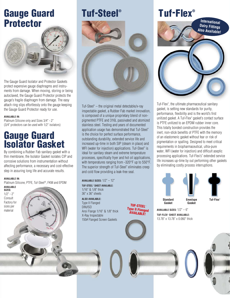## Gauge Guard Protector



The Gauge Guard Isolator and Protector Gaskets protect expensive gauge diaphragms and instruments from damage. When moving, storing or being autoclaved, the Gauge Guard Protector protects the gauge's fragile diaphragm from damage. The easy attach ring slips effortlessly onto the gauge keeping the Gauge Guard Protector ready for use.

#### **AVAILABLE IN:**

Platinum Silicone only and Sizes 3/4" - 2" (3/4" protectors can be used with 1/2" isolators)

## Gauge Guard Isolator Gasket

By combining a Rubber Fab sanitary gasket with a thin membrane, the Isolator Gasket isolates CIP and corrosive solutions from instrumentation without affecting performance, a necessary and cost-effective step in assuring long life and accurate results.

#### **AVAILABLE IN:**

Platinum Silicone, PTFE, Tuf-Steel®, FKM and EPDM **AVAILABLE**

**SIZES:** 1/2" - 2" Consult Factory for sizes per material

## Tuf-Steel®



Tuf-Steel® – the original metal detectable/x-ray inspectable gasket, a Rubber Fab market innovation, is composed of a unique proprietary blend of nonpigmented PTFE and 316L passivated and atomized stainless steel. Testing and years of documented application usage has demonstrated that Tuf-Steel® is the choice for perfect surface performance, outstanding durability, extended service life and increased up-time in both SIP (steam in place) and WFI (water for injection) applications. Tuf-Steel® is ideal for sanitary steam and extreme temperature processes, specifically fryer and hot oil applications, with temperatures ranging from  $-320^{\circ}$ F up to 550°F. The superior strength of Tuf-Steel® eliminates creep and cold flow providing a leak-free seal.

**AVAILABLE SIZES:** 1/2" – 12" **TUF-STEEL**® **SHEET AVAILABLE:** 1/16" & 1/8" thick

36" x 36" sheets

#### **ALSO AVAILABLE:** Type II Flanged DIN/ISO Ansi Flange 1/16" & 1/8" thick X-Ray Inspectable 150# Flanged Screen Gaskets

TUF-STEEL® Type II Flanged AVAILABLE!

## Tuf-Flex®



Tuf-Flex® , the ultimate pharmaceutical sanitary gasket, is setting new standards for purity, performance, flexibility and is the world's first unitized gasket. A Tuf-Flex® gasket's contact surface is PTFE unitized to an EPDM rubber inner core. This totally bonded construction provides the inert, non-stick benefits of PTFE with the memory of an elastomeric gasket without fear or risk of pigmentation or spalling. Designed to meet critical requirements in biopharmaceutical, ultra-pure water, WFI (water for injection) and difficult aseptic processing applications. Tuf-Flex's® extended service life increases up-time by out performing other gaskets by eliminating costly process interruptions.





**Gasket Gasket**

**AVAILABLE SIZES:** 1/2" – 6" **TUF-FLEX**® **SHEET AVAILABLE:** 13.78" x 13.78" x 0.060" thick

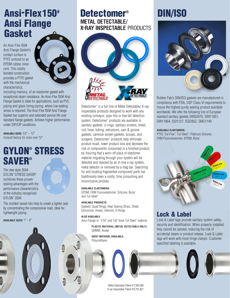## Ansi-Flex150# Ansi Flange Gasket

An Ansi-Flex 150# Ansi Flange Gasket's contact surface is PTFE unitized to an EPDM rubber inner core. This totally bonded construction provides a PTFE gasket with the mechanical characteristics,



including memory, of an elastomer gasket with exceptional steam resistance. An Ansi-Flex 150# Ansi Flange Gasket is ideal for applications, such as PVC piping and glass lining piping, where low seating stress is required. The Ansi-Flex 150# Ansi Flange Gasket has superior and extended service life over standard flange gaskets. Achieve higher performance under SIP/CIP conditions.

**AVAILABLE SIZES:** 1/2" – 12" Consult factory for sizes over 12"

## GYLON® STRESS **SAVER®**

The new style 3504 GYLON® STRESS SAVER® combines these proven sealing advantages with the performance characteristics of the industry recognized GYLON® 3504.



The molded raised ribs help to create a tighter seal by concentrating the compressive load, ideal for lightweight piping.

#### **AVAILABLE SIZES:** 1" - 8"



## **Detectomer<sup>®</sup> METAL DETECTABLE/ X-RAY INSPECTABLE** PRODUCTS



Detectomer® is a full line of Metal Detectable/ X-ray Inspectable products designed to work with any existing conveyor, pipe line or free fall detection system. Detectomer® products are available in sanitary gaskets, o-rings, sanitary screens, sheet, rod, hose, tubing, extrusions, cam & groove gaskets, camlock screen gaskets, scoops, and scrapers. Detectomer® products help eliminate product recall, lower product loss and decrease the risk of components consumed in a finished product by insuring that a worn off piece of elastomer material migrating through your system will be detected and rejected by an in-line x-ray system, metal detector or removed by a mag bar. Searching for and locating fragmented component parts has traditionally been a costly, time consuming and inconclusive process.

#### **AVAILABLE ELASTOMERS:**

EPDM, FKM Fluoroelastomer, Silicone, Buna\* and Tuf-Steel®

#### **AVAILABLE PRODUCTS:**

Gaskets, Quad Rings, Heat Sealing Strips, Sheet, Extrusions, Hoses, Utensils, O-Rings

#### **ALSO AVAILABLE:**

Ansi-Flange in 1/16" and 1/8" thick Tuf-Steel® material

**PLASTIC MATERIAL (METAL DETECTABLE ONLY):**  UHMW, Acetal

**SHEET MATERIAL AVAILABLE:**  Polyurethane



Metal Detectable Patent # 7,390,580 X-ray Inspectable Patent # 9,701,827

## DIN/ISO



Rubber Fab's DIN/ISO gaskets are manufactured in compliance with FDA, USP Class VI requirements to insure the highest purity sealing product available worldwide. We offer the following line of European standard sanitary gaskets DIN32676, DIN11851, DIN11864, ISO1127, ISO2852, SMS1149

#### **AVAILABLE ELASTOMERS:**

PTFE, Tuf-Flex® , Tuf-Steel® , Platinum Silicone, FKM Fluoroelastomer, EPDM, Buna\*



### Lock & Label

Lock & Label tags provide sanitary system safety, security and identification. When properly installed, they cannot be opened, reducing the risk of accidental steam or product release. Lock & Label tags will work with most hinge clamps. Customer specified labeling is available.



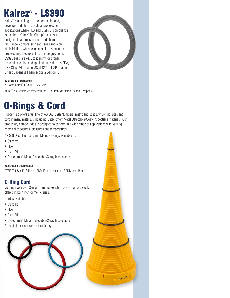# Kalrez® - LS390

Kalrez® is a sealing product for use in food, beverage and pharmaceutical processing applications where FDA and Class VI compliance is required. Kalrez® Tri-Clamp® gaskets are designed to address thermal and chemical resistance, compression set issues and high static friction, which can cause intrusion in the process line. Because of its unique grey color, LS390 seals are easy to identify for proper material selection and application. Kalrez® is FDA, USP Class VI, Chapter 88 at 121ºC, USP Chapter 87 and Japanese Pharmacopeia Edition 16.



#### **AVAILABLE ELASTOMERS:**

duPont™ Kalrez® LS390 - Grey Color Kalrez® is a registered trademark of E.I. duPont de Nemours and Company

# O-Rings & Cord

Rubber Fab offers a full line of AS 568 Dash Numbers, metric and specialty O-Ring sizes and cord in many materials including Detectomer® Metal Detectable/X-ray Inspectable materials. Our proprietary compounds are designed to perform in a wide range of applications with varying chemical exposures, pressures and temperatures.

AS 568 Dash Numbers and Metric O-Rings available in:

- Standard
- FDA
- Class VI
- Detectomer® Metal Detectable/X-ray Inspectable

#### **AVAILABLE ELASTOMERS:**

PTFE, Tuf-Steel®, Silicone, FKM Fluoroelastomer, EPDM, and Buna\*

#### **O-Ring Cord**

Vulcanize your own O-rings from our selection of O-ring cord stock, offered in both inch or metric sizes.

Cord is available in:

- Standard
- FDA
- Class VI

• Detectomer® Metal Detectable/X-ray Inspectable For cord diameters, please consult factory

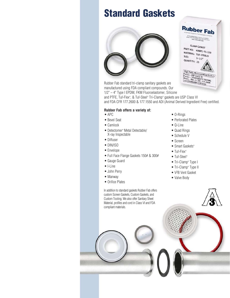## Standard Gaskets



Figh Purity Pharmaceutical Gaskets<br>Passes - CYTOTASS VI<br>Passes - CYTOTASS VI<br>Meets - FDA 21 CFR 17 TESTING<br>3-A STANDARDS CERTIFIED Rubber Fab standard tri-clamp sanitary gaskets are manufactured using FDA compliant compounds. Our 1/2" – 4" Type I EPDM, FKM Fluoroelastomer, Silicone and PTFE, Tuf-Flex® , & Tuf-Steel® Tri-Clamp® gaskets are USP Class VI and FDA CFR 177.2600 & 177.1550 and ADI (Animal Derived Ingredient Free) certified.

#### **Rubber Fab offers a variety of:**

- APC
- Bevel Seat
- Camlock
- Detectomer® Metal Detectable/ X-ray Inspectable
- Diffuser
- DIN/ISO
- Envelope
- Full Face Flange Gaskets 150# & 300#
- Gauge Guard
- I-Line
- John Perry
- Manway
- Orifice Plates

In addition to standard gaskets Rubber Fab offers custom Screen Gaskets, Custom Gaskets, and Custom Tooling. We also offer Sanitary Sheet Material, profiles and cord in Class VI and FDA compliant materials.

- O-Rings
- Perforated Plates

**Rubber Fab** 

20 Brookheid Drive . Sparta, NJ 07821<br>6001: 073-579-20130 . Sparta, NJ 07821<br>700W.rubberfah.com

**CLAMP GASKET** PART NO: 40MPG-TS-150<br>MATERIAL: THE MATERIAL: 40MPG-TS-15<br>SIZE: TUF-STEEL®

 $1 - 1/2$ 

SIZE:

QUANTITY: 25

- Q-Line
- Quad Rings
- Schedule V
- Screen
- Smart Gaskets®
- Tuf-Flex<sup>®</sup>
- Tuf-Steel®
- Tri-Clamp<sup>®</sup> Type I
- Tri-Clamp® Type II
- V2B Vent Gasket
- Valve Body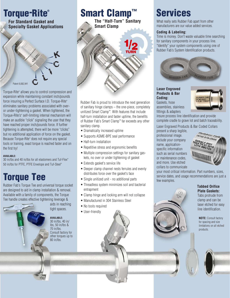

Torque-Rite® allows you to control compression and expansion while maintaining constant inch/pounds force insuring a Perfect Surface I.D. Torque-Rite® eliminates sanitary problems associated with overor under-tightening a gasket. When tightened, the Torque-Rite's® self-limiting internal mechanism will make an audible "click" signaling the user that they have reached proper inch/pounds force. If further tightening is attempted, there will be more "clicks" but no additional application of force on the gasket. Because Torque-Rite® does not require any special tools or training, exact torque is reached faster and on the first try!

#### **AVAILABLE:**

30 in/lbs and 40 in/lbs for all elastomers and Tuf-Flex® 50 in/lbs for PTFE, PTFE Envelope and Tuf-Steel®

## Torque Tee

Rubber Fab's Torque Tee and universal torque socket are designed to aid in clamp installation & removal. Available with a family of components, the Torque Tee handle creates effective tightening leverage &



aids in reaching tight spaces.

**AVAILABLE:** 30 in/lbs, 40 in/ lbs, 50 in/lbs & 70 in/lbs. Consult factory for other torques up to 80 in/lbs.



Rubber Fab is proud to introduce the next generation of sanitary hinge clamps – the one-piece, completely unitized Smart Clamp™. With features that include half-turn installation and faster uptime, the benefits of Rubber Fab's Smart Clamp™ far exceeds any other sanitary clamp.

- Dramatically increased uptime
- Supports ASME-BPE seal performance
- Half-turn installation
- Repetitive stress and ergonomic benefits
- Multiple compression settings for sanitary gaskets, no over or under tightening of gasket
- Extends gasket's service life
- Deeper clamp channel nests ferrules and evenly distributes force over the gasket's face
- Single unitized unit no additional parts
- Threadless system minimizes soil and bacterial entrapment
- Clamp hinge and locking arm will not collapse
- Manufactured in 304 Stainless Steel
- No tools required
- User-friendly



What really sets Rubber Fab apart from other manufacturers are our value added services.

#### **Coding & Labeling:**

Time is money. Don't waste valuable time searching for sanitary components in your process line. "Identify" your system components using one of Rubber Fab's System Identification products.



**Laser Engraved Products & Bar Coding:** Gaskets, hose assemblies, stainless fittings & adapters



insure process line identification and provide complete cradle to grave lot and batch traceability.

Laser Engraved Products & Bar Coded Collars

present a sharp legible, professional image. Include your company name, applicationspecific information such as serial numbers or maintenance codes, and more. Use etched collars to communicate



your most critical information. Part numbers, sizes, service dates, and usage recommendations are just a few examples.



 **Tabbed Orifice Plate Gaskets:** Tabs protrude from

clamp and can be laser etched for easy line identification.

**NOTE:** Consult factory for spacing and size limitations on all etched products.